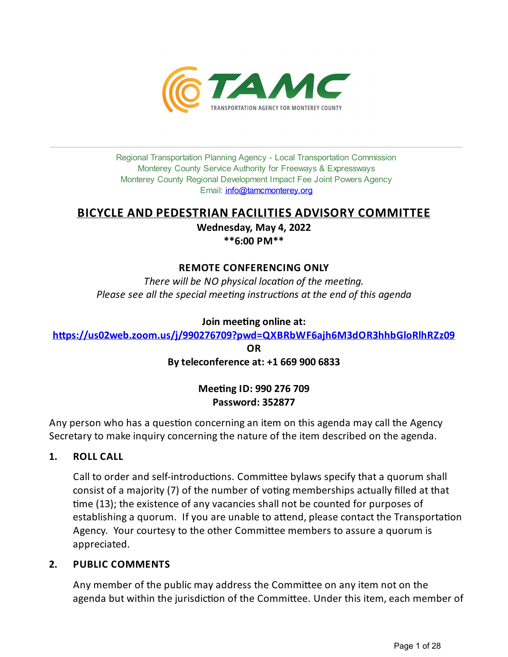

Regional Transportation Planning Agency - Local Transportation Commission Monterey County Service Authority for Freeways & Expressways Monterey County Regional Development Impact Fee Joint Powers Agency Email: *[info@tamcmonterey.org](file:///C:/Windows/TEMP/info@tamcmonterey.org)* 

## **BICYCLE AND PEDESTRIAN FACILITIES ADVISORY COMMITTEE**

**Wednesday, May 4, 2022 \*\*6:00 PM\*\***

## **REMOTE CONFERENCING ONLY**

*There* will be NO physical location of the meeting. *Please see* all the *special* meeting *instructions* at the end of this agenda

## **Join** meeting online at:

**[h+ps://us02web.zoom.us/j/990276709?pwd=QXBRbWF6ajh6M3dOR3hhbGloRlhRZz09](https://us02web.zoom.us/j/990276709?pwd=QXBRbWF6ajh6M3dOR3hhbGloRlhRZz09)**

**OR**

## **Byteleconference at: +1 669 900 6833**

## **Mee&ngID: 990 276 709 Password: 352877**

Any person who has a question concerning an item on this agenda may call the Agency Secretary to make inquiry concerning the nature of the item described on the agenda.

**1. ROLL CALL**

Call to order and self-introductions. Committee bylaws specify that a quorum shall consist of a majority (7) of the number of voting memberships actually filled at that me (13); the existence of any vacancies shall not be counted for purposes of establishing a quorum. If you are unable to attend, please contact the Transportation Agency. Your courtesy to the other Committee members to assure a quorum is appreciated.

## **2. PUBLIC COMMENTS**

Any member of the public may address the Committee on any item not on the agenda but within the jurisdiction of the Committee. Under this item, each member of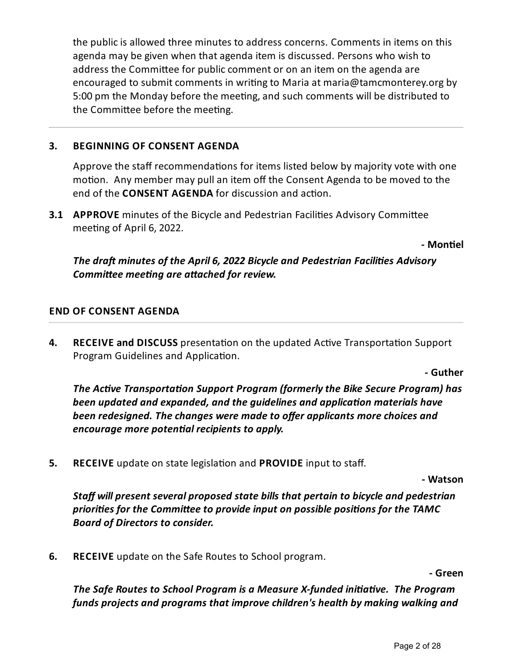the public is allowed three minutes to address concerns. Comments in items on this agenda may be given when that agenda item is discussed. Persons who wish to address the Committee for public comment or on an item on the agenda are encouraged to submit comments in writing to Maria at maria@tamcmonterey.org by 5:00 pm the Monday before the meeting, and such comments will be distributed to the Committee before the meeting.

## **3. BEGINNING OF CONSENT AGENDA**

Approve the staff recommendations for items listed below by majority vote with one motion. Any member may pull an item off the Consent Agenda to be moved to the end of the **CONSENT AGENDA** for discussion and action.

**3.1 APPROVE** minutes of the Bicycle and Pedestrian Facilities Advisory Committee meeting of April 6, 2022.

**- Mon&el**

*The dra minutes of the April 6, 2022 Bicycle and Pedestrian Facilies Advisory Committee meeting are attached for review.* 

## **END OF CONSENT AGENDA**

**4. RECEIVE and DISCUSS** presentation on the updated Active Transportation Support Program Guidelines and Application.

**- Guther**

*The Active Transportation Support Program (formerly the Bike Secure Program) has been updated and expanded, and the guidelines and applicaon materials have been redesigned. Thechanges were madeto offer applicants morechoices and encourage more potenal recipients to apply.*

**5. RECEIVE** update on state legislation and **PROVIDE** input to staff.

**- Watson**

*Staff will present several proposed state bills that pertain to bicycle and pedestrian priories for the Commi eeto provideinput on possible posions for the TAMC Board of Directors to consider.*

**6. RECEIVE** update on the Safe Routes to School program.

**- Green**

*The* Safe Routes to School Program is a Measure X-funded *initiative*. The Program *funds projects and programs that improvechildren's health by making walking and*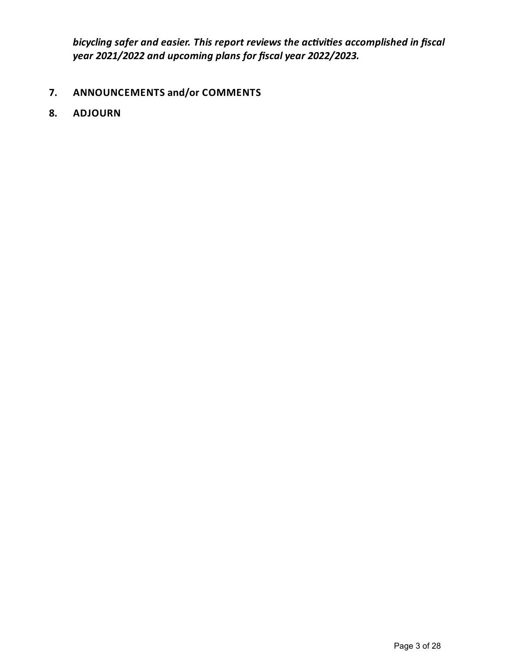*bicycling safer and easier. This report reviews the acvies accomplished in fiscal year 2021/2022 and upcoming plans for fiscalyear 2022/2023.*

## **7. ANNOUNCEMENTS and/or COMMENTS**

**8. ADJOURN**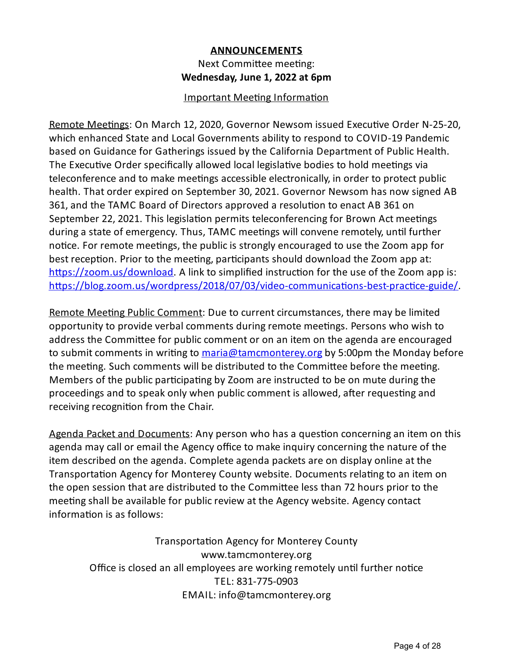## **ANNOUNCEMENTS** Next Committee meeting: **Wednesday, June 1, 2022 at 6pm**

## Important Meeting Information

Remote Meetings: On March 12, 2020, Governor Newsom issued Executive Order N-25-20, which enhanced State and Local Governments ability to respond to COVID-19 Pandemic based on Guidance for Gatherings issued by the California Department of Public Health. The Executive Order specifically allowed local legislative bodies to hold meetings via teleconference and to make meetings accessible electronically, in order to protect public health. That order expired on September 30, 2021. Governor Newsom has now signed AB 361, and the TAMC Board of Directors approved a resolution to enact AB 361 on September 22, 2021. This legislation permits teleconferencing for Brown Act meetings during a state of emergency. Thus, TAMC meetings will convene remotely, until further notice. For remote meetings, the public is strongly encouraged to use the Zoom app for best reception. Prior to the meeting, participants should download the Zoom app at: https://zoom.us/download. A link to simplified instruction for the use of the Zoom app is: https://blog.zoom.us/wordpress/2018/07/03/video-communications-best-practice-guide/

Remote Meeting Public Comment: Due to current circumstances, there may be limited opportunity to provide verbal comments during remote meetings. Persons who wish to address the Committee for public comment or on an item on the agenda are encouraged to submit comments in writing to [maria@tamcmonterey.org](mailto:maria@tamcmonterey.org) by 5:00pm the Monday before the meeting. Such comments will be distributed to the Committee before the meeting. Members of the public participating by Zoom are instructed to be on mute during the proceedings and to speak only when public comment is allowed, after requesting and receiving recognition from the Chair.

Agenda Packet and Documents: Any person who has a question concerning an item on this agenda may call or email the Agency office to make inquiry concerning the nature of the item described on the agenda. Complete agenda packets are on display online at the Transportation Agency for Monterey County website. Documents relating to an item on the open session that are distributed to the Committee less than 72 hours prior to the meeting shall be available for public review at the Agency website. Agency contact information is as follows:

Transportation Agency for Monterey County www.tamcmonterey.org Office is closed an all employees are working remotely until further notice TEL: 831-775-0903 EMAIL: info@tamcmonterey.org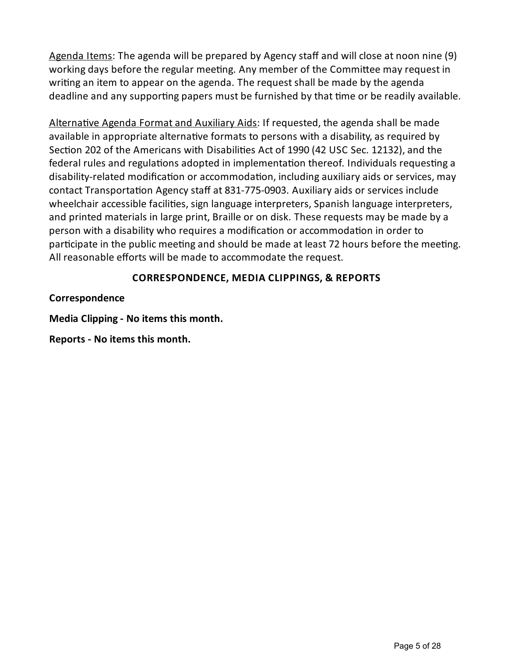Agenda Items: The agenda will be prepared by Agency staff and will close at noon nine (9) working days before the regular meeting. Any member of the Committee may request in writing an item to appear on the agenda. The request shall be made by the agenda deadline and any supporting papers must be furnished by that time or be readily available.

Alternative Agenda Format and Auxiliary Aids: If requested, the agenda shall be made available in appropriate alternative formats to persons with a disability, as required by Section 202 of the Americans with Disabilities Act of 1990 (42 USC Sec. 12132), and the federal rules and regulations adopted in implementation thereof. Individuals requesting a disability-related modification or accommodation, including auxiliary aids or services, may contact Transportation Agency staff at 831-775-0903. Auxiliary aids or services include wheelchair accessible facilities, sign language interpreters, Spanish language interpreters, and printed materials in large print, Braille or on disk. These requests may be made bya person with a disability who requires a modification or accommodation in order to participate in the public meeting and should be made at least 72 hours before the meeting. All reasonable efforts will be made to accommodate the request.

## **CORRESPONDENCE, MEDIA CLIPPINGS, & REPORTS**

**Correspondence**

**Media Clipping- No items this month.**

**Reports - No items this month.**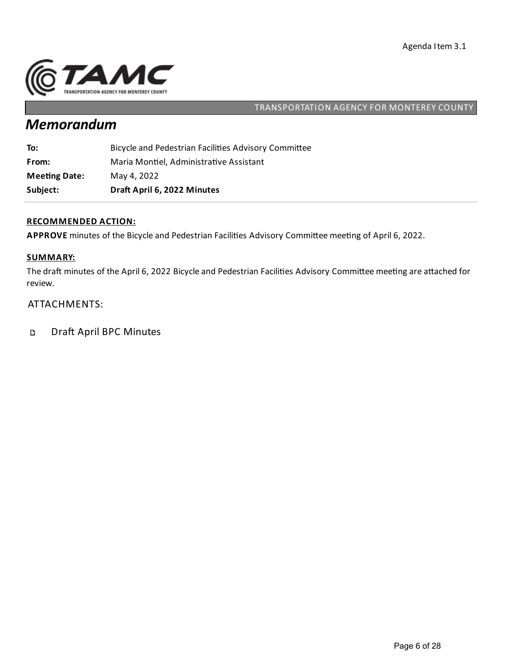

# *Memorandum*

| Subject:             | Draft April 6, 2022 Minutes                          |
|----------------------|------------------------------------------------------|
| <b>Meeting Date:</b> | May 4, 2022                                          |
| From:                | Maria Montiel, Administrative Assistant              |
| To:                  | Bicycle and Pedestrian Facilities Advisory Committee |

## **RECOMMENDED ACTION:**

APPROVE minutes of the Bicycle and Pedestrian Facilities Advisory Committee meeting of April 6, 2022.

### **SUMMARY:**

The draft minutes of the April 6, 2022 Bicycle and Pedestrian Facilities Advisory Committee meeting are attached for review.

### ATTACHMENTS:

Draft April BPC Minutes  $\mathbf D$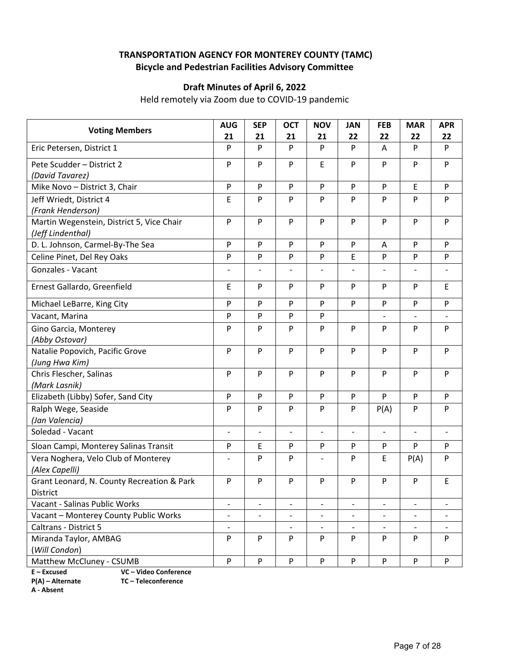## **TRANSPORTATION AGENCY FOR MONTEREY COUNTY (TAMC) Bicycle and Pedestrian Facilities Advisory Committee**

## **Draft Minutes of April 6, 2022**

Held remotely via Zoom due to COVID‐19 pandemic

| <b>Voting Members</b>                      | <b>AUG</b>                   | <b>SEP</b>               | <b>OCT</b>               | <b>NOV</b>               | <b>JAN</b>               | <b>FEB</b>               | <b>MAR</b>                   | <b>APR</b>               |
|--------------------------------------------|------------------------------|--------------------------|--------------------------|--------------------------|--------------------------|--------------------------|------------------------------|--------------------------|
|                                            | 21                           | 21                       | 21<br>P                  | 21                       | 22                       | 22                       | 22                           | 22                       |
| Eric Petersen, District 1                  | P                            | P                        |                          | P                        | P                        | Α                        | P                            | P                        |
| Pete Scudder - District 2                  | P                            | P                        | P                        | $\mathsf E$              | P                        | P                        | P                            | P                        |
| (David Tavarez)                            |                              |                          |                          |                          |                          |                          |                              |                          |
| Mike Novo - District 3, Chair              | P                            | P                        | P                        | P                        | P                        | P                        | Ε                            | P                        |
| Jeff Wriedt, District 4                    | E                            | P                        | P                        | P                        | P                        | P                        | P                            | P                        |
| (Frank Henderson)                          |                              |                          |                          |                          |                          |                          |                              |                          |
| Martin Wegenstein, District 5, Vice Chair  | $\mathsf{P}$                 | P                        | P                        | P                        | P                        | P                        | $\mathsf{P}$                 | P                        |
| (Jeff Lindenthal)                          |                              |                          |                          |                          |                          |                          |                              |                          |
| D. L. Johnson, Carmel-By-The Sea           | P                            | P                        | P                        | P                        | P                        | A                        | P                            | P                        |
| Celine Pinet, Del Rey Oaks                 | P                            | P                        | P                        | P                        | E                        | P                        | $\mathsf{P}$                 | P                        |
| Gonzales - Vacant                          |                              |                          | $\overline{a}$           |                          |                          | $\overline{a}$           |                              |                          |
| Ernest Gallardo, Greenfield                | E                            | P                        | P                        | P                        | P                        | P                        | P                            | E                        |
| Michael LeBarre, King City                 | P                            | P                        | P                        | P                        | P                        | P                        | P                            | P                        |
| Vacant, Marina                             | P                            | P                        | P                        | P                        |                          | $\overline{a}$           | $\qquad \qquad -$            | $\overline{\phantom{a}}$ |
| Gino Garcia, Monterey                      | P                            | P                        | P                        | P                        | P                        | P                        | P                            | P.                       |
| (Abby Ostovar)                             |                              |                          |                          |                          |                          |                          |                              |                          |
| Natalie Popovich, Pacific Grove            | ${\sf P}$                    | P                        | ${\sf P}$                | P                        | P                        | P                        | P                            | P                        |
| (Jung Hwa Kim)                             |                              |                          |                          |                          |                          |                          |                              |                          |
| Chris Flescher, Salinas                    | $\mathsf{P}$                 | P                        | P                        | P                        | P                        | P                        | P                            | P                        |
| (Mark Lasnik)                              |                              |                          |                          |                          |                          |                          |                              |                          |
| Elizabeth (Libby) Sofer, Sand City         | $\mathsf{P}$                 | P                        | ${\sf P}$                | $\mathsf{P}$             | P                        | P                        | $\mathsf{P}$                 | P                        |
| Ralph Wege, Seaside                        | P                            | P                        | P                        | P                        | P                        | P(A)                     | P                            | P                        |
| (Jan Valencia)                             |                              |                          |                          |                          |                          |                          |                              |                          |
| Soledad - Vacant                           | $\overline{\phantom{a}}$     | $\overline{\phantom{a}}$ | $\overline{\phantom{0}}$ | $\overline{\phantom{m}}$ | $\overline{\phantom{a}}$ | $\overline{\phantom{a}}$ | $\qquad \qquad -$            | $\overline{\phantom{a}}$ |
| Sloan Campi, Monterey Salinas Transit      | P                            | E                        | P                        | ${\sf P}$                | P                        | P                        | P                            | P                        |
| Vera Noghera, Velo Club of Monterey        | $\overline{\phantom{a}}$     | P                        | P                        |                          | P                        | E                        | P(A)                         | P                        |
| (Alex Capelli)                             |                              |                          |                          |                          |                          |                          |                              |                          |
| Grant Leonard, N. County Recreation & Park | P                            | P                        | P                        | P                        | P                        | P                        | P                            | E                        |
| District                                   |                              |                          |                          |                          |                          |                          |                              |                          |
| Vacant - Salinas Public Works              | $\overline{\phantom{a}}$     |                          | $\overline{a}$           | $\overline{\phantom{a}}$ |                          | $\overline{a}$           | $\overline{\phantom{a}}$     |                          |
| Vacant - Monterey County Public Works      | $\overline{\phantom{a}}$     | $\overline{\phantom{a}}$ | $\qquad \qquad -$        | $\overline{\phantom{a}}$ | $\overline{\phantom{a}}$ | $\qquad \qquad -$        | $\qquad \qquad \blacksquare$ |                          |
| Caltrans - District 5                      | $\qquad \qquad \blacksquare$ |                          | $\overline{a}$           | $\overline{\phantom{a}}$ | $\overline{\phantom{0}}$ | $\overline{a}$           |                              |                          |
| Miranda Taylor, AMBAG                      | P                            | P                        | ${\sf P}$                | P                        | P                        | P                        | P                            | P                        |
| (Will Condon)                              |                              |                          |                          |                          |                          |                          |                              |                          |
| Matthew McCluney - CSUMB                   | P                            | P                        | ${\sf P}$                | ${\sf P}$                | P                        | P                        | P                            | P                        |

**E – Excused VC – Video Conference** 

**P(A) – Alternate TC – Teleconference**

**A ‐ Absent**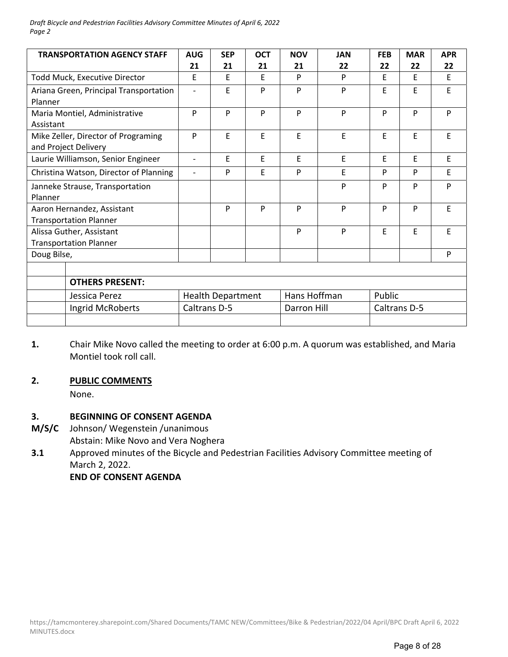*Draft Bicycle and Pedestrian Facilities Advisory Committee Minutes of April 6, 2022 Page 2*

| <b>TRANSPORTATION AGENCY STAFF</b>                          | <b>AUG</b><br>21         | <b>SEP</b><br>21         | <b>OCT</b><br>21 | <b>NOV</b><br>21 | <b>JAN</b><br>22 | <b>FEB</b><br>22 | <b>MAR</b><br>22 | <b>APR</b><br>22 |
|-------------------------------------------------------------|--------------------------|--------------------------|------------------|------------------|------------------|------------------|------------------|------------------|
| Todd Muck, Executive Director                               | E                        | E                        | F                | P                | P                | E                | E                | E                |
| Ariana Green, Principal Transportation<br>Planner           | $\overline{\phantom{a}}$ | E                        | P                | P                | P                | F                | E                | E                |
| Maria Montiel, Administrative<br>Assistant                  | P                        | P                        | P                | P                | P                | P                | P                | P                |
| Mike Zeller, Director of Programing<br>and Project Delivery | P                        | E                        | E                | E                | E                | F                | F                | E                |
| Laurie Williamson, Senior Engineer                          | $\overline{\phantom{a}}$ | E                        | E.               | E                | E                | F                | F                | E                |
| Christina Watson, Director of Planning                      | $\overline{\phantom{a}}$ | P                        | E                | P                | F                | P                | P                | E                |
| Janneke Strause, Transportation<br>Planner                  |                          |                          |                  |                  | P                | P                | P                | P                |
| Aaron Hernandez, Assistant<br><b>Transportation Planner</b> |                          | P                        | P                | P                | P                | P                | P                | E                |
| Alissa Guther, Assistant<br><b>Transportation Planner</b>   |                          |                          |                  | P                | P                | E                | E                | E                |
| Doug Bilse,                                                 |                          |                          |                  |                  |                  |                  |                  | P                |
|                                                             |                          |                          |                  |                  |                  |                  |                  |                  |
| <b>OTHERS PRESENT:</b>                                      |                          |                          |                  |                  |                  |                  |                  |                  |
| Jessica Perez                                               |                          | <b>Health Department</b> |                  | Hans Hoffman     |                  | Public           |                  |                  |
| Ingrid McRoberts                                            | Caltrans D-5             |                          |                  | Darron Hill      |                  | Caltrans D-5     |                  |                  |
|                                                             |                          |                          |                  |                  |                  |                  |                  |                  |

**1.**  Chair Mike Novo called the meeting to order at 6:00 p.m. A quorum was established, and Maria Montiel took roll call.

#### **2. PUBLIC COMMENTS**

None.

#### **3. BEGINNING OF CONSENT AGENDA**

- **M/S/C**  Johnson/ Wegenstein /unanimous
	- Abstain: Mike Novo and Vera Noghera
- **3.1**  Approved minutes of the Bicycle and Pedestrian Facilities Advisory Committee meeting of March 2, 2022.

 **END OF CONSENT AGENDA**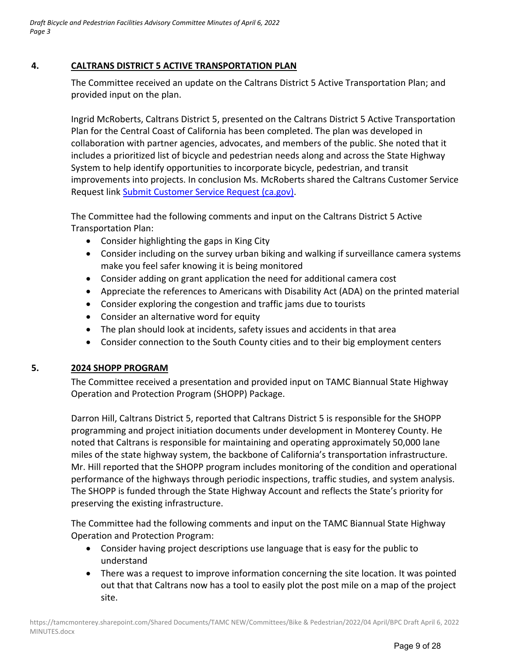## **4. CALTRANS DISTRICT 5 ACTIVE TRANSPORTATION PLAN**

The Committee received an update on the Caltrans District 5 Active Transportation Plan; and provided input on the plan.

Ingrid McRoberts, Caltrans District 5, presented on the Caltrans District 5 Active Transportation Plan for the Central Coast of California has been completed. The plan was developed in collaboration with partner agencies, advocates, and members of the public. She noted that it includes a prioritized list of bicycle and pedestrian needs along and across the State Highway System to help identify opportunities to incorporate bicycle, pedestrian, and transit improvements into projects. In conclusion Ms. McRoberts shared the Caltrans Customer Service Request link Submit Customer Service Request (ca.gov).

The Committee had the following comments and input on the Caltrans District 5 Active Transportation Plan:

- Consider highlighting the gaps in King City
- Consider including on the survey urban biking and walking if surveillance camera systems make you feel safer knowing it is being monitored
- Consider adding on grant application the need for additional camera cost
- Appreciate the references to Americans with Disability Act (ADA) on the printed material
- Consider exploring the congestion and traffic jams due to tourists
- Consider an alternative word for equity
- The plan should look at incidents, safety issues and accidents in that area
- Consider connection to the South County cities and to their big employment centers

## **5. 2024 SHOPP PROGRAM**

The Committee received a presentation and provided input on TAMC Biannual State Highway Operation and Protection Program (SHOPP) Package.

Darron Hill, Caltrans District 5, reported that Caltrans District 5 is responsible for the SHOPP programming and project initiation documents under development in Monterey County. He noted that Caltrans is responsible for maintaining and operating approximately 50,000 lane miles of the state highway system, the backbone of California's transportation infrastructure. Mr. Hill reported that the SHOPP program includes monitoring of the condition and operational performance of the highways through periodic inspections, traffic studies, and system analysis. The SHOPP is funded through the State Highway Account and reflects the State's priority for preserving the existing infrastructure.

The Committee had the following comments and input on the TAMC Biannual State Highway Operation and Protection Program:

- Consider having project descriptions use language that is easy for the public to understand
- There was a request to improve information concerning the site location. It was pointed out that that Caltrans now has a tool to easily plot the post mile on a map of the project site.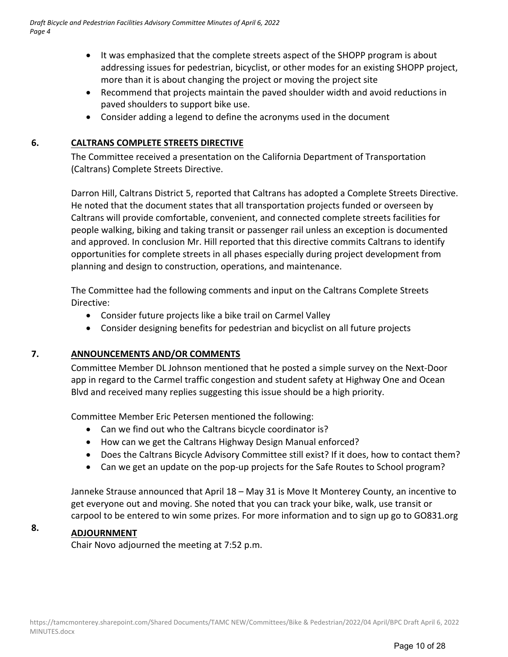- It was emphasized that the complete streets aspect of the SHOPP program is about addressing issues for pedestrian, bicyclist, or other modes for an existing SHOPP project, more than it is about changing the project or moving the project site
- Recommend that projects maintain the paved shoulder width and avoid reductions in paved shoulders to support bike use.
- Consider adding a legend to define the acronyms used in the document

## **6. CALTRANS COMPLETE STREETS DIRECTIVE**

The Committee received a presentation on the California Department of Transportation (Caltrans) Complete Streets Directive.

Darron Hill, Caltrans District 5, reported that Caltrans has adopted a Complete Streets Directive. He noted that the document states that all transportation projects funded or overseen by Caltrans will provide comfortable, convenient, and connected complete streets facilities for people walking, biking and taking transit or passenger rail unless an exception is documented and approved. In conclusion Mr. Hill reported that this directive commits Caltrans to identify opportunities for complete streets in all phases especially during project development from planning and design to construction, operations, and maintenance.

The Committee had the following comments and input on the Caltrans Complete Streets Directive:

- Consider future projects like a bike trail on Carmel Valley
- Consider designing benefits for pedestrian and bicyclist on all future projects

## **7. ANNOUNCEMENTS AND/OR COMMENTS**

Committee Member DL Johnson mentioned that he posted a simple survey on the Next‐Door app in regard to the Carmel traffic congestion and student safety at Highway One and Ocean Blvd and received many replies suggesting this issue should be a high priority.

Committee Member Eric Petersen mentioned the following:

- Can we find out who the Caltrans bicycle coordinator is?
- How can we get the Caltrans Highway Design Manual enforced?
- Does the Caltrans Bicycle Advisory Committee still exist? If it does, how to contact them?
- Can we get an update on the pop-up projects for the Safe Routes to School program?

Janneke Strause announced that April 18 – May 31 is Move It Monterey County, an incentive to get everyone out and moving. She noted that you can track your bike, walk, use transit or carpool to be entered to win some prizes. For more information and to sign up go to GO831.org

## **8. ADJOURNMENT**

Chair Novo adjourned the meeting at 7:52 p.m.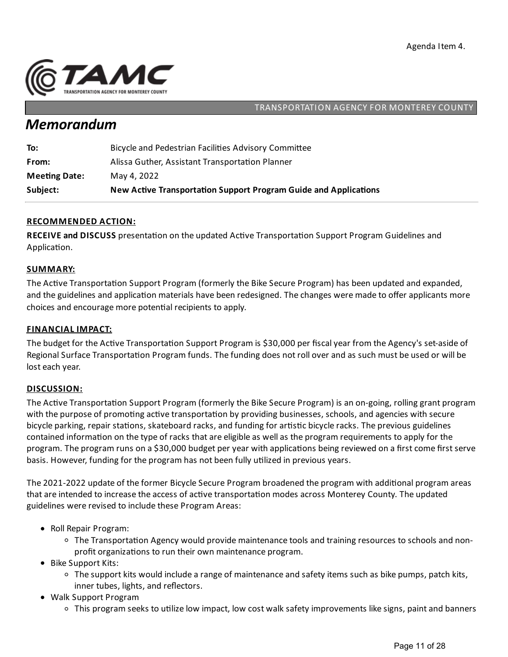

## *Memorandum*

| Subject:             | New Active Transportation Support Program Guide and Applications |
|----------------------|------------------------------------------------------------------|
| <b>Meeting Date:</b> | May 4, 2022                                                      |
| From:                | Alissa Guther, Assistant Transportation Planner                  |
| To:                  | Bicycle and Pedestrian Facilities Advisory Committee             |

### **RECOMMENDED ACTION:**

**RECEIVE and DISCUSS** presentation on the updated Active Transportation Support Program Guidelines and Application.

#### **SUMMARY:**

The Active Transportation Support Program (formerly the Bike Secure Program) has been updated and expanded, and the guidelines and application materials have been redesigned. The changes were made to offer applicants more choices and encourage more potential recipients to apply.

#### **FINANCIAL IMPACT:**

The budget for the Active Transportation Support Program is \$30,000 per fiscal year from the Agency's set-aside of Regional Surface Transportation Program funds. The funding does not roll over and as such must be used or will be lost each year.

#### **DISCUSSION:**

The Active Transportation Support Program (formerly the Bike Secure Program) is an on-going, rolling grant program with the purpose of promoting active transportation by providing businesses, schools, and agencies with secure bicycle parking, repair stations, skateboard racks, and funding for artistic bicycle racks. The previous guidelines contained information on the type of racks that are eligible as well as the program requirements to apply for the program. The program runs on a \$30,000 budget per year with applications being reviewed on a first come first serve basis. However, funding for the program has not been fully utilized in previous years.

The 2021-2022 update of the former Bicycle Secure Program broadened the program with additional program areas that are intended to increase the access of active transportation modes across Monterey County. The updated guidelines were revised to include these Program Areas:

- Roll Repair Program:
	- $\circ$  The Transportation Agency would provide maintenance tools and training resources to schools and nonprofit organizations to run their own maintenance program.
- Bike Support Kits:
	- $\circ$  The support kits would include a range of maintenance and safety items such as bike pumps, patch kits, inner tubes, lights, and reflectors.
- Walk Support Program
	- $\circ$  This program seeks to utilize low impact, low cost walk safety improvements like signs, paint and banners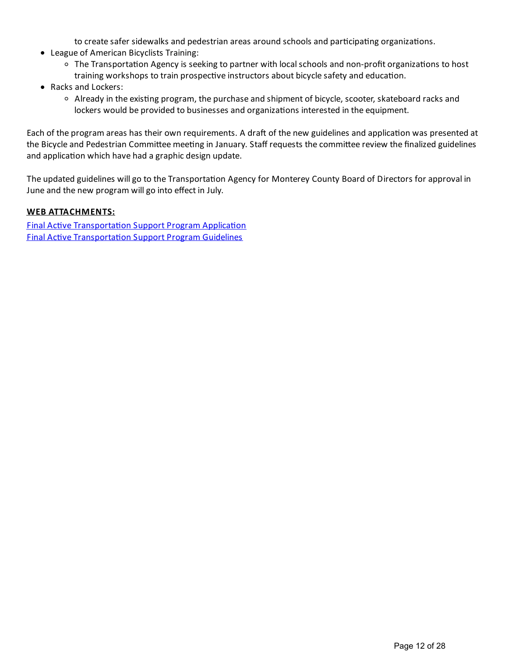to create safer sidewalks and pedestrian areas around schools and participating organizations.

- League of American Bicyclists Training:
	- <sup>o</sup> The Transportation Agency is seeking to partner with local schools and non-profit organizations to host training workshops to train prospective instructors about bicycle safety and education.
- Racks and Lockers:
	- $\circ$  Already in the existing program, the purchase and shipment of bicycle, scooter, skateboard racks and lockers would be provided to businesses and organizations interested in the equipment.

Each of the program areas has their own requirements. A draft of the new guidelines and application was presented at the Bicycle and Pedestrian Committee meeting in January. Staff requests the committee review the finalized guidelines and application which have had a graphic design update.

The updated guidelines will go to the Transportation Agency for Monterey County Board of Directors for approval in June and the new program will go into effect in July.

#### **WEB ATTACHMENTS:**

Final Active Transportation Support Program Application **Final Active Transportation Support Program Guidelines**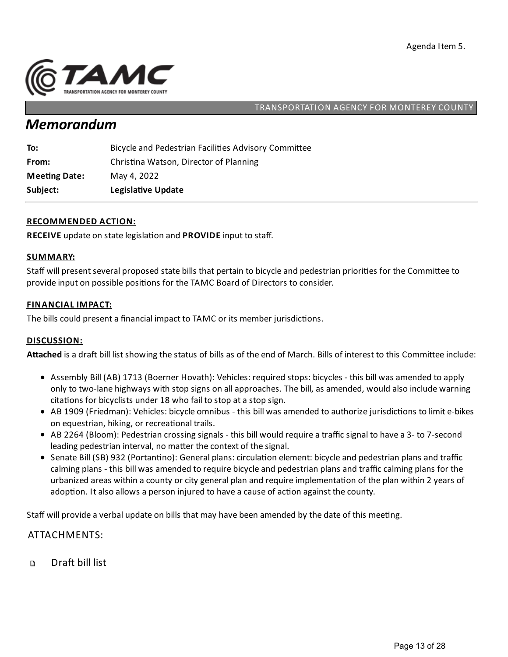

## *Memorandum*

| To:                  | Bicycle and Pedestrian Facilities Advisory Committee |
|----------------------|------------------------------------------------------|
| From:                | Christina Watson, Director of Planning               |
| <b>Meeting Date:</b> | May 4, 2022                                          |
| Subject:             | Legislative Update                                   |

#### **RECOMMENDED ACTION:**

**RECEIVE** update on state legislation and **PROVIDE** input to staff.

#### **SUMMARY:**

Staff will present several proposed state bills that pertain to bicycle and pedestrian priorities for the Committee to provide input on possible positions for the TAMC Board of Directors to consider.

#### **FINANCIAL IMPACT:**

The bills could present a financial impact to TAMC or its member jurisdictions.

#### **DISCUSSION:**

Attached is a draft bill list showing the status of bills as of the end of March. Bills of interest to this Committee include:

- Assembly Bill (AB) 1713 (Boerner Hovath): Vehicles: required stops: bicycles this bill was amended to apply only to two-lane highways with stop signs on all approaches. The bill, as amended, would also include warning citations for bicyclists under 18 who fail to stop at a stop sign.
- AB 1909 (Friedman): Vehicles: bicycle omnibus this bill was amended to authorize jurisdictions to limit e-bikes on equestrian, hiking, or recreational trails.
- AB 2264 (Bloom): Pedestrian crossing signals this bill would require a traffic signal to have a 3- to 7-second leading pedestrian interval, no matter the context of the signal.
- Senate Bill (SB) 932 (Portantino): General plans: circulation element: bicycle and pedestrian plans and traffic calming plans - this bill was amended to require bicycle and pedestrian plans and traffic calming plans for the urbanized areas within a county or city general plan and require implementation of the plan within 2 years of adoption. It also allows a person injured to have a cause of action against the county.

Staff will provide a verbal update on bills that may have been amended by the date of this meeting.

#### ATTACHMENTS:

Draft bill list  $\Box$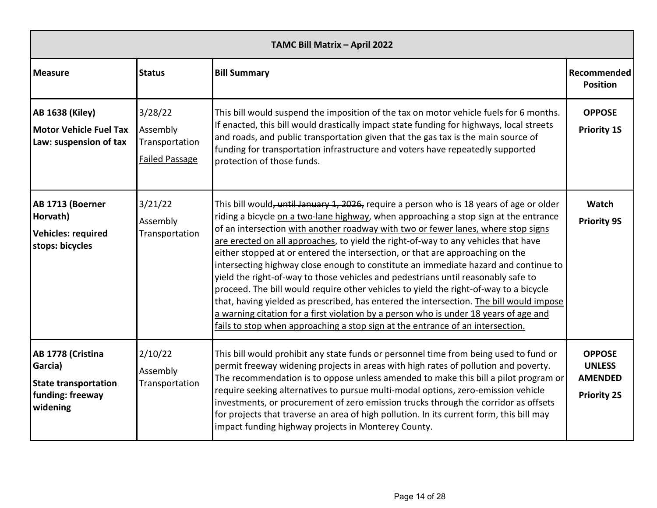| TAMC Bill Matrix - April 2022                                                               |                                                                |                                                                                                                                                                                                                                                                                                                                                                                                                                                                                                                                                                                                                                                                                                                                                                                                                                                                                                                                                                                         |                                                                        |  |
|---------------------------------------------------------------------------------------------|----------------------------------------------------------------|-----------------------------------------------------------------------------------------------------------------------------------------------------------------------------------------------------------------------------------------------------------------------------------------------------------------------------------------------------------------------------------------------------------------------------------------------------------------------------------------------------------------------------------------------------------------------------------------------------------------------------------------------------------------------------------------------------------------------------------------------------------------------------------------------------------------------------------------------------------------------------------------------------------------------------------------------------------------------------------------|------------------------------------------------------------------------|--|
| <b>Measure</b>                                                                              | <b>Status</b>                                                  | <b>Bill Summary</b>                                                                                                                                                                                                                                                                                                                                                                                                                                                                                                                                                                                                                                                                                                                                                                                                                                                                                                                                                                     | Recommended<br><b>Position</b>                                         |  |
| <b>AB 1638 (Kiley)</b><br><b>Motor Vehicle Fuel Tax</b><br>Law: suspension of tax           | 3/28/22<br>Assembly<br>Transportation<br><b>Failed Passage</b> | This bill would suspend the imposition of the tax on motor vehicle fuels for 6 months.<br>If enacted, this bill would drastically impact state funding for highways, local streets<br>and roads, and public transportation given that the gas tax is the main source of<br>funding for transportation infrastructure and voters have repeatedly supported<br>protection of those funds.                                                                                                                                                                                                                                                                                                                                                                                                                                                                                                                                                                                                 | <b>OPPOSE</b><br><b>Priority 1S</b>                                    |  |
| AB 1713 (Boerner<br>Horvath)<br><b>Vehicles: required</b><br>stops: bicycles                | 3/21/22<br>Assembly<br>Transportation                          | This bill would, until January 1, 2026, require a person who is 18 years of age or older<br>riding a bicycle on a two-lane highway, when approaching a stop sign at the entrance<br>of an intersection with another roadway with two or fewer lanes, where stop signs<br>are erected on all approaches, to yield the right-of-way to any vehicles that have<br>either stopped at or entered the intersection, or that are approaching on the<br>intersecting highway close enough to constitute an immediate hazard and continue to<br>yield the right-of-way to those vehicles and pedestrians until reasonably safe to<br>proceed. The bill would require other vehicles to yield the right-of-way to a bicycle<br>that, having yielded as prescribed, has entered the intersection. The bill would impose<br>a warning citation for a first violation by a person who is under 18 years of age and<br>fails to stop when approaching a stop sign at the entrance of an intersection. | <b>Watch</b><br><b>Priority 9S</b>                                     |  |
| AB 1778 (Cristina<br>Garcia)<br><b>State transportation</b><br>funding: freeway<br>widening | 2/10/22<br>Assembly<br>Transportation                          | This bill would prohibit any state funds or personnel time from being used to fund or<br>permit freeway widening projects in areas with high rates of pollution and poverty.<br>The recommendation is to oppose unless amended to make this bill a pilot program or<br>require seeking alternatives to pursue multi-modal options, zero-emission vehicle<br>investments, or procurement of zero emission trucks through the corridor as offsets<br>for projects that traverse an area of high pollution. In its current form, this bill may<br>impact funding highway projects in Monterey County.                                                                                                                                                                                                                                                                                                                                                                                      | <b>OPPOSE</b><br><b>UNLESS</b><br><b>AMENDED</b><br><b>Priority 2S</b> |  |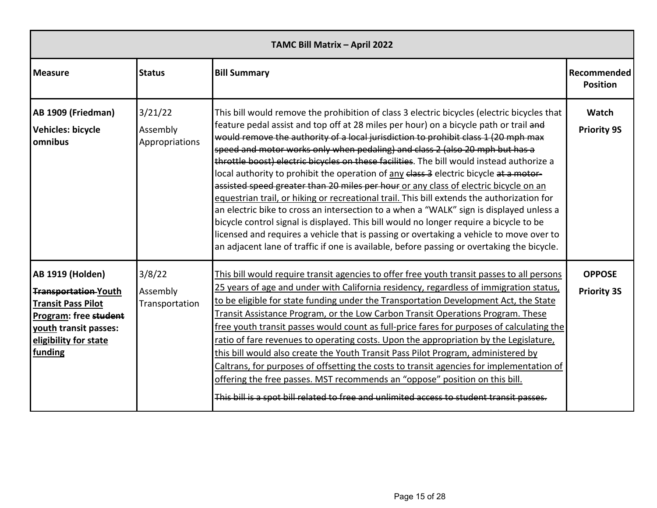| TAMC Bill Matrix - April 2022                                                                                                                                             |                                       |                                                                                                                                                                                                                                                                                                                                                                                                                                                                                                                                                                                                                                                                                                                                                                                                                                                                                                                                                                                                                                                                                                                      |                                     |  |  |
|---------------------------------------------------------------------------------------------------------------------------------------------------------------------------|---------------------------------------|----------------------------------------------------------------------------------------------------------------------------------------------------------------------------------------------------------------------------------------------------------------------------------------------------------------------------------------------------------------------------------------------------------------------------------------------------------------------------------------------------------------------------------------------------------------------------------------------------------------------------------------------------------------------------------------------------------------------------------------------------------------------------------------------------------------------------------------------------------------------------------------------------------------------------------------------------------------------------------------------------------------------------------------------------------------------------------------------------------------------|-------------------------------------|--|--|
| <b>Measure</b>                                                                                                                                                            | <b>Status</b>                         | <b>Bill Summary</b>                                                                                                                                                                                                                                                                                                                                                                                                                                                                                                                                                                                                                                                                                                                                                                                                                                                                                                                                                                                                                                                                                                  | Recommended<br><b>Position</b>      |  |  |
| AB 1909 (Friedman)<br><b>Vehicles: bicycle</b><br>omnibus                                                                                                                 | 3/21/22<br>Assembly<br>Appropriations | This bill would remove the prohibition of class 3 electric bicycles (electric bicycles that<br>feature pedal assist and top off at 28 miles per hour) on a bicycle path or trail and<br>would remove the authority of a local jurisdiction to prohibit class 1 (20 mph max<br>speed and motor works only when pedaling) and class 2 (also 20 mph but has a<br>throttle boost) electric bicycles on these facilities. The bill would instead authorize a<br>local authority to prohibit the operation of any class 3 electric bicycle at a motor-<br>assisted speed greater than 20 miles per hour or any class of electric bicycle on an<br>equestrian trail, or hiking or recreational trail. This bill extends the authorization for<br>an electric bike to cross an intersection to a when a "WALK" sign is displayed unless a<br>bicycle control signal is displayed. This bill would no longer require a bicycle to be<br>licensed and requires a vehicle that is passing or overtaking a vehicle to move over to<br>an adjacent lane of traffic if one is available, before passing or overtaking the bicycle. | Watch<br><b>Priority 9S</b>         |  |  |
| <b>AB 1919 (Holden)</b><br><b>Transportation-Youth</b><br><b>Transit Pass Pilot</b><br>Program: free student<br>youth transit passes:<br>eligibility for state<br>funding | 3/8/22<br>Assembly<br>Transportation  | This bill would require transit agencies to offer free youth transit passes to all persons<br>25 years of age and under with California residency, regardless of immigration status,<br>to be eligible for state funding under the Transportation Development Act, the State<br>Transit Assistance Program, or the Low Carbon Transit Operations Program. These<br>free youth transit passes would count as full-price fares for purposes of calculating the<br>ratio of fare revenues to operating costs. Upon the appropriation by the Legislature,<br>this bill would also create the Youth Transit Pass Pilot Program, administered by<br>Caltrans, for purposes of offsetting the costs to transit agencies for implementation of<br>offering the free passes. MST recommends an "oppose" position on this bill.<br>This bill is a spot bill related to free and unlimited access to student transit passes.                                                                                                                                                                                                    | <b>OPPOSE</b><br><b>Priority 3S</b> |  |  |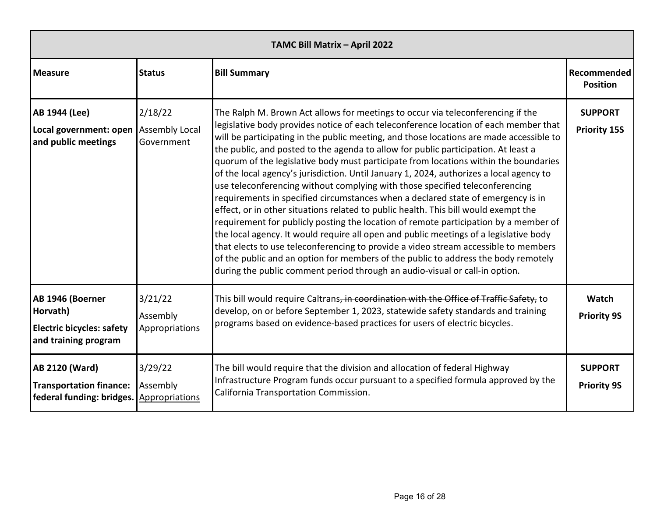| TAMC Bill Matrix - April 2022                                                            |                                                |                                                                                                                                                                                                                                                                                                                                                                                                                                                                                                                                                                                                                                                                                                                                                                                                                                                                                                                                                                                                                                                                                                                                                                                                                                                     |                                       |  |
|------------------------------------------------------------------------------------------|------------------------------------------------|-----------------------------------------------------------------------------------------------------------------------------------------------------------------------------------------------------------------------------------------------------------------------------------------------------------------------------------------------------------------------------------------------------------------------------------------------------------------------------------------------------------------------------------------------------------------------------------------------------------------------------------------------------------------------------------------------------------------------------------------------------------------------------------------------------------------------------------------------------------------------------------------------------------------------------------------------------------------------------------------------------------------------------------------------------------------------------------------------------------------------------------------------------------------------------------------------------------------------------------------------------|---------------------------------------|--|
| <b>Measure</b>                                                                           | <b>Status</b>                                  | <b>Bill Summary</b>                                                                                                                                                                                                                                                                                                                                                                                                                                                                                                                                                                                                                                                                                                                                                                                                                                                                                                                                                                                                                                                                                                                                                                                                                                 | Recommended<br><b>Position</b>        |  |
| AB 1944 (Lee)<br>Local government: open<br>and public meetings                           | 2/18/22<br><b>Assembly Local</b><br>Government | The Ralph M. Brown Act allows for meetings to occur via teleconferencing if the<br>legislative body provides notice of each teleconference location of each member that<br>will be participating in the public meeting, and those locations are made accessible to<br>the public, and posted to the agenda to allow for public participation. At least a<br>quorum of the legislative body must participate from locations within the boundaries<br>of the local agency's jurisdiction. Until January 1, 2024, authorizes a local agency to<br>use teleconferencing without complying with those specified teleconferencing<br>requirements in specified circumstances when a declared state of emergency is in<br>effect, or in other situations related to public health. This bill would exempt the<br>requirement for publicly posting the location of remote participation by a member of<br>the local agency. It would require all open and public meetings of a legislative body<br>that elects to use teleconferencing to provide a video stream accessible to members<br>of the public and an option for members of the public to address the body remotely<br>during the public comment period through an audio-visual or call-in option. | <b>SUPPORT</b><br><b>Priority 15S</b> |  |
| AB 1946 (Boerner<br>Horvath)<br><b>Electric bicycles: safety</b><br>and training program | 3/21/22<br>Assembly<br>Appropriations          | This bill would require Caltrans, in coordination with the Office of Traffic Safety, to<br>develop, on or before September 1, 2023, statewide safety standards and training<br>programs based on evidence-based practices for users of electric bicycles.                                                                                                                                                                                                                                                                                                                                                                                                                                                                                                                                                                                                                                                                                                                                                                                                                                                                                                                                                                                           | Watch<br><b>Priority 9S</b>           |  |
| <b>AB 2120 (Ward)</b><br><b>Transportation finance:</b><br>federal funding: bridges.     | 3/29/22<br>Assembly<br>Appropriations          | The bill would require that the division and allocation of federal Highway<br>Infrastructure Program funds occur pursuant to a specified formula approved by the<br>California Transportation Commission.                                                                                                                                                                                                                                                                                                                                                                                                                                                                                                                                                                                                                                                                                                                                                                                                                                                                                                                                                                                                                                           | <b>SUPPORT</b><br><b>Priority 9S</b>  |  |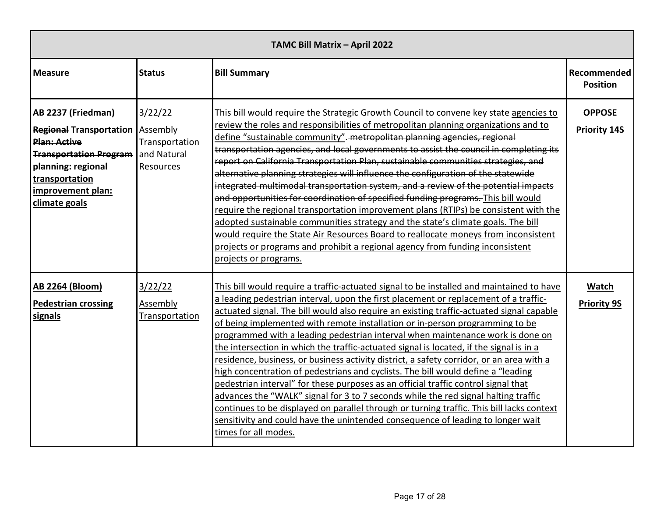| TAMC Bill Matrix - April 2022                                                                                                                                                                         |                                                       |                                                                                                                                                                                                                                                                                                                                                                                                                                                                                                                                                                                                                                                                                                                                                                                                                                                                                                                                                                                                                                                                                                               |                                      |  |  |
|-------------------------------------------------------------------------------------------------------------------------------------------------------------------------------------------------------|-------------------------------------------------------|---------------------------------------------------------------------------------------------------------------------------------------------------------------------------------------------------------------------------------------------------------------------------------------------------------------------------------------------------------------------------------------------------------------------------------------------------------------------------------------------------------------------------------------------------------------------------------------------------------------------------------------------------------------------------------------------------------------------------------------------------------------------------------------------------------------------------------------------------------------------------------------------------------------------------------------------------------------------------------------------------------------------------------------------------------------------------------------------------------------|--------------------------------------|--|--|
| <b>Measure</b>                                                                                                                                                                                        | <b>Status</b>                                         | <b>Bill Summary</b>                                                                                                                                                                                                                                                                                                                                                                                                                                                                                                                                                                                                                                                                                                                                                                                                                                                                                                                                                                                                                                                                                           | Recommended<br><b>Position</b>       |  |  |
| AB 2237 (Friedman)<br><b>Regional Transportation   Assembly</b><br><b>Plan: Active</b><br><b>Transportation Program</b><br>planning: regional<br>transportation<br>improvement plan:<br>climate goals | 3/22/22<br>Transportation<br>and Natural<br>Resources | This bill would require the Strategic Growth Council to convene key state agencies to<br>review the roles and responsibilities of metropolitan planning organizations and to<br>define "sustainable community". metropolitan planning agencies, regional<br>transportation agencies, and local governments to assist the council in completing its<br>report on California Transportation Plan, sustainable communities strategies, and<br>alternative planning strategies will influence the configuration of the statewide<br>integrated multimodal transportation system, and a review of the potential impacts<br>and opportunities for coordination of specified funding programs. This bill would<br>require the regional transportation improvement plans (RTIPs) be consistent with the<br>adopted sustainable communities strategy and the state's climate goals. The bill<br>would require the State Air Resources Board to reallocate moneys from inconsistent<br>projects or programs and prohibit a regional agency from funding inconsistent<br>projects or programs.                           | <b>OPPOSE</b><br><b>Priority 14S</b> |  |  |
| <b>AB 2264 (Bloom)</b><br><b>Pedestrian crossing</b><br>signals                                                                                                                                       | 3/22/22<br>Assembly<br>Transportation                 | This bill would require a traffic-actuated signal to be installed and maintained to have<br>a leading pedestrian interval, upon the first placement or replacement of a traffic-<br>actuated signal. The bill would also require an existing traffic-actuated signal capable<br>of being implemented with remote installation or in-person programming to be<br>programmed with a leading pedestrian interval when maintenance work is done on<br>the intersection in which the traffic-actuated signal is located, if the signal is in a<br>residence, business, or business activity district, a safety corridor, or an area with a<br>high concentration of pedestrians and cyclists. The bill would define a "leading<br>pedestrian interval" for these purposes as an official traffic control signal that<br>advances the "WALK" signal for 3 to 7 seconds while the red signal halting traffic<br>continues to be displayed on parallel through or turning traffic. This bill lacks context<br>sensitivity and could have the unintended consequence of leading to longer wait<br>times for all modes. | Watch<br><b>Priority 9S</b>          |  |  |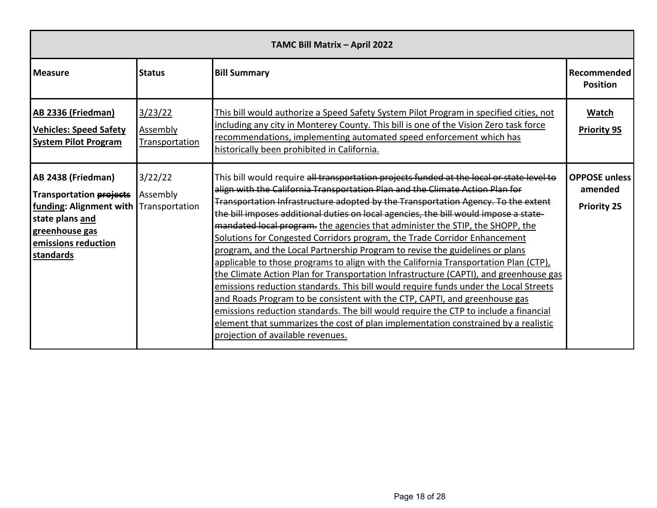| TAMC Bill Matrix - April 2022                                                                                                                                           |                                       |                                                                                                                                                                                                                                                                                                                                                                                                                                                                                                                                                                                                                                                                                                                                                                                                                                                                                                                                                                                                                                                                                                                                                                                 |                                                       |  |  |
|-------------------------------------------------------------------------------------------------------------------------------------------------------------------------|---------------------------------------|---------------------------------------------------------------------------------------------------------------------------------------------------------------------------------------------------------------------------------------------------------------------------------------------------------------------------------------------------------------------------------------------------------------------------------------------------------------------------------------------------------------------------------------------------------------------------------------------------------------------------------------------------------------------------------------------------------------------------------------------------------------------------------------------------------------------------------------------------------------------------------------------------------------------------------------------------------------------------------------------------------------------------------------------------------------------------------------------------------------------------------------------------------------------------------|-------------------------------------------------------|--|--|
| <b>Measure</b>                                                                                                                                                          | <b>Status</b>                         | <b>Bill Summary</b>                                                                                                                                                                                                                                                                                                                                                                                                                                                                                                                                                                                                                                                                                                                                                                                                                                                                                                                                                                                                                                                                                                                                                             | Recommended<br><b>Position</b>                        |  |  |
| <b>AB 2336 (Friedman)</b><br><b>Vehicles: Speed Safety</b><br><b>System Pilot Program</b>                                                                               | 3/23/22<br>Assembly<br>Transportation | This bill would authorize a Speed Safety System Pilot Program in specified cities, not<br>including any city in Monterey County. This bill is one of the Vision Zero task force<br>recommendations, implementing automated speed enforcement which has<br>historically been prohibited in California.                                                                                                                                                                                                                                                                                                                                                                                                                                                                                                                                                                                                                                                                                                                                                                                                                                                                           | Watch<br><b>Priority 9S</b>                           |  |  |
| AB 2438 (Friedman)<br><b>Transportation projects</b><br>funding: Alignment with Transportation<br>state plans and<br>greenhouse gas<br>emissions reduction<br>standards | 3/22/22<br>Assembly                   | This bill would require all transportation projects funded at the local or state level to<br>align with the California Transportation Plan and the Climate Action Plan for<br>Transportation Infrastructure adopted by the Transportation Agency. To the extent<br>the bill imposes additional duties on local agencies, the bill would impose a state-<br>mandated local program. the agencies that administer the STIP, the SHOPP, the<br>Solutions for Congested Corridors program, the Trade Corridor Enhancement<br>program, and the Local Partnership Program to revise the guidelines or plans<br>applicable to those programs to align with the California Transportation Plan (CTP),<br>the Climate Action Plan for Transportation Infrastructure (CAPTI), and greenhouse gas<br>emissions reduction standards. This bill would require funds under the Local Streets<br>and Roads Program to be consistent with the CTP, CAPTI, and greenhouse gas<br>emissions reduction standards. The bill would require the CTP to include a financial<br>element that summarizes the cost of plan implementation constrained by a realistic<br>projection of available revenues. | <b>OPPOSE unless</b><br>amended<br><b>Priority 2S</b> |  |  |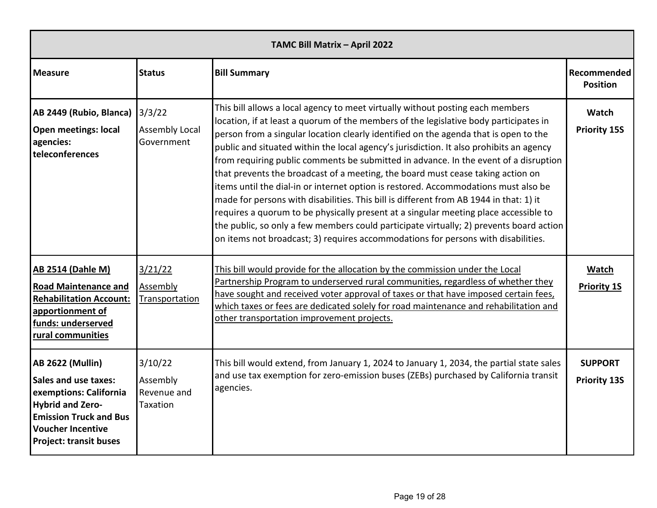| TAMC Bill Matrix - April 2022                                                                                                                                                                      |                                                |                                                                                                                                                                                                                                                                                                                                                                                                                                                                                                                                                                                                                                                                                                                                                                                                                                                                                                                                                                                                |                                       |  |
|----------------------------------------------------------------------------------------------------------------------------------------------------------------------------------------------------|------------------------------------------------|------------------------------------------------------------------------------------------------------------------------------------------------------------------------------------------------------------------------------------------------------------------------------------------------------------------------------------------------------------------------------------------------------------------------------------------------------------------------------------------------------------------------------------------------------------------------------------------------------------------------------------------------------------------------------------------------------------------------------------------------------------------------------------------------------------------------------------------------------------------------------------------------------------------------------------------------------------------------------------------------|---------------------------------------|--|
| <b>Measure</b>                                                                                                                                                                                     | <b>Status</b>                                  | <b>Bill Summary</b>                                                                                                                                                                                                                                                                                                                                                                                                                                                                                                                                                                                                                                                                                                                                                                                                                                                                                                                                                                            | Recommended<br><b>Position</b>        |  |
| AB 2449 (Rubio, Blanca)<br><b>Open meetings: local</b><br>agencies:<br>teleconferences                                                                                                             | 3/3/22<br><b>Assembly Local</b><br>Government  | This bill allows a local agency to meet virtually without posting each members<br>location, if at least a quorum of the members of the legislative body participates in<br>person from a singular location clearly identified on the agenda that is open to the<br>public and situated within the local agency's jurisdiction. It also prohibits an agency<br>from requiring public comments be submitted in advance. In the event of a disruption<br>that prevents the broadcast of a meeting, the board must cease taking action on<br>items until the dial-in or internet option is restored. Accommodations must also be<br>made for persons with disabilities. This bill is different from AB 1944 in that: 1) it<br>requires a quorum to be physically present at a singular meeting place accessible to<br>the public, so only a few members could participate virtually; 2) prevents board action<br>on items not broadcast; 3) requires accommodations for persons with disabilities. | Watch<br><b>Priority 15S</b>          |  |
| <b>AB 2514 (Dahle M)</b><br><b>Road Maintenance and</b><br><b>Rehabilitation Account:</b><br>apportionment of<br>funds: underserved<br>rural communities                                           | 3/21/22<br>Assembly<br>Transportation          | This bill would provide for the allocation by the commission under the Local<br>Partnership Program to underserved rural communities, regardless of whether they<br>have sought and received voter approval of taxes or that have imposed certain fees,<br>which taxes or fees are dedicated solely for road maintenance and rehabilitation and<br>other transportation improvement projects.                                                                                                                                                                                                                                                                                                                                                                                                                                                                                                                                                                                                  | Watch<br><b>Priority 1S</b>           |  |
| <b>AB 2622 (Mullin)</b><br>Sales and use taxes:<br>exemptions: California<br><b>Hybrid and Zero-</b><br><b>Emission Truck and Bus</b><br><b>Voucher Incentive</b><br><b>Project: transit buses</b> | 3/10/22<br>Assembly<br>Revenue and<br>Taxation | This bill would extend, from January 1, 2024 to January 1, 2034, the partial state sales<br>and use tax exemption for zero-emission buses (ZEBs) purchased by California transit<br>agencies.                                                                                                                                                                                                                                                                                                                                                                                                                                                                                                                                                                                                                                                                                                                                                                                                  | <b>SUPPORT</b><br><b>Priority 13S</b> |  |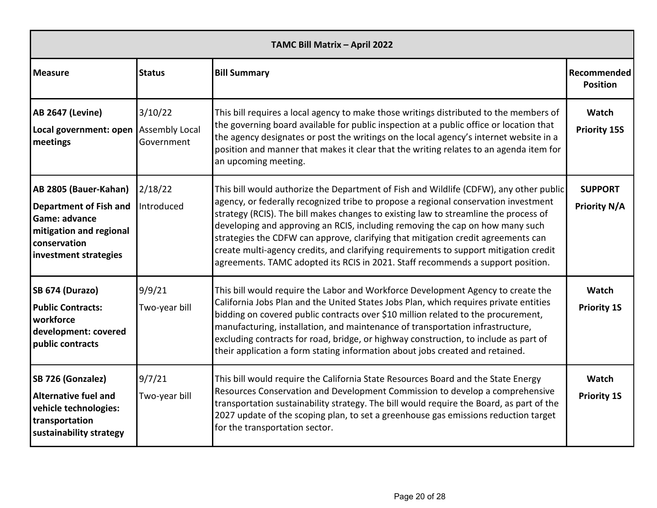| TAMC Bill Matrix - April 2022                                                                                                               |                         |                                                                                                                                                                                                                                                                                                                                                                                                                                                                                                                                                                                                                         |                                       |  |
|---------------------------------------------------------------------------------------------------------------------------------------------|-------------------------|-------------------------------------------------------------------------------------------------------------------------------------------------------------------------------------------------------------------------------------------------------------------------------------------------------------------------------------------------------------------------------------------------------------------------------------------------------------------------------------------------------------------------------------------------------------------------------------------------------------------------|---------------------------------------|--|
| <b>Measure</b>                                                                                                                              | <b>Status</b>           | <b>Bill Summary</b>                                                                                                                                                                                                                                                                                                                                                                                                                                                                                                                                                                                                     | Recommended<br><b>Position</b>        |  |
| <b>AB 2647 (Levine)</b><br>Local government: open Assembly Local<br>meetings                                                                | 3/10/22<br>Government   | This bill requires a local agency to make those writings distributed to the members of<br>the governing board available for public inspection at a public office or location that<br>the agency designates or post the writings on the local agency's internet website in a<br>position and manner that makes it clear that the writing relates to an agenda item for<br>an upcoming meeting.                                                                                                                                                                                                                           | <b>Watch</b><br><b>Priority 15S</b>   |  |
| AB 2805 (Bauer-Kahan)<br><b>Department of Fish and</b><br>Game: advance<br>mitigation and regional<br>conservation<br>investment strategies | 2/18/22<br>Introduced   | This bill would authorize the Department of Fish and Wildlife (CDFW), any other public<br>agency, or federally recognized tribe to propose a regional conservation investment<br>strategy (RCIS). The bill makes changes to existing law to streamline the process of<br>developing and approving an RCIS, including removing the cap on how many such<br>strategies the CDFW can approve, clarifying that mitigation credit agreements can<br>create multi-agency credits, and clarifying requirements to support mitigation credit<br>agreements. TAMC adopted its RCIS in 2021. Staff recommends a support position. | <b>SUPPORT</b><br><b>Priority N/A</b> |  |
| SB 674 (Durazo)<br><b>Public Contracts:</b><br>workforce<br>development: covered<br>public contracts                                        | 9/9/21<br>Two-year bill | This bill would require the Labor and Workforce Development Agency to create the<br>California Jobs Plan and the United States Jobs Plan, which requires private entities<br>bidding on covered public contracts over \$10 million related to the procurement,<br>manufacturing, installation, and maintenance of transportation infrastructure,<br>excluding contracts for road, bridge, or highway construction, to include as part of<br>their application a form stating information about jobs created and retained.                                                                                               | <b>Watch</b><br><b>Priority 1S</b>    |  |
| SB 726 (Gonzalez)<br>Alternative fuel and<br>vehicle technologies:<br>transportation<br>sustainability strategy                             | 9/7/21<br>Two-year bill | This bill would require the California State Resources Board and the State Energy<br>Resources Conservation and Development Commission to develop a comprehensive<br>transportation sustainability strategy. The bill would require the Board, as part of the<br>2027 update of the scoping plan, to set a greenhouse gas emissions reduction target<br>for the transportation sector.                                                                                                                                                                                                                                  | <b>Watch</b><br><b>Priority 1S</b>    |  |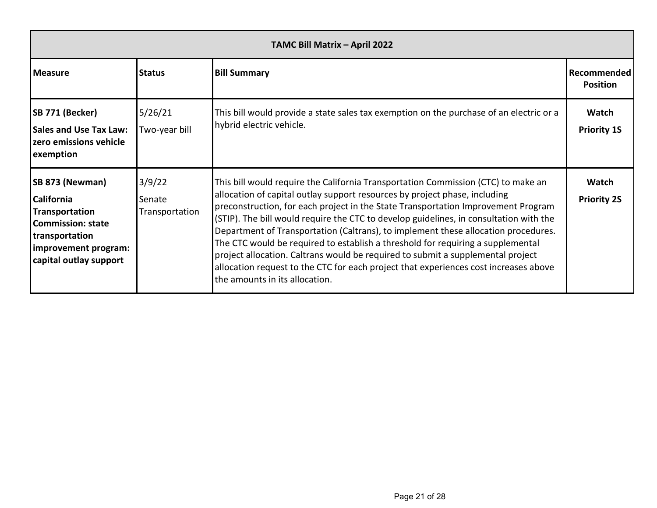| TAMC Bill Matrix - April 2022                                                                                                                          |                                    |                                                                                                                                                                                                                                                                                                                                                                                                                                                                                                                                                                                                                                                                                                                                      |                                |
|--------------------------------------------------------------------------------------------------------------------------------------------------------|------------------------------------|--------------------------------------------------------------------------------------------------------------------------------------------------------------------------------------------------------------------------------------------------------------------------------------------------------------------------------------------------------------------------------------------------------------------------------------------------------------------------------------------------------------------------------------------------------------------------------------------------------------------------------------------------------------------------------------------------------------------------------------|--------------------------------|
| <b>Measure</b>                                                                                                                                         | <b>IStatus</b>                     | <b>Bill Summary</b>                                                                                                                                                                                                                                                                                                                                                                                                                                                                                                                                                                                                                                                                                                                  | Recommended<br><b>Position</b> |
| SB 771 (Becker)<br><b>Sales and Use Tax Law:</b><br>zero emissions vehicle<br>exemption                                                                | 5/26/21<br>Two-year bill           | This bill would provide a state sales tax exemption on the purchase of an electric or a<br>hybrid electric vehicle.                                                                                                                                                                                                                                                                                                                                                                                                                                                                                                                                                                                                                  | Watch<br><b>Priority 1S</b>    |
| SB 873 (Newman)<br><b>California</b><br>Transportation<br><b>Commission: state</b><br>transportation<br>improvement program:<br>capital outlay support | 3/9/22<br>Senate<br>Transportation | This bill would require the California Transportation Commission (CTC) to make an<br>allocation of capital outlay support resources by project phase, including<br>preconstruction, for each project in the State Transportation Improvement Program<br>(STIP). The bill would require the CTC to develop guidelines, in consultation with the<br>Department of Transportation (Caltrans), to implement these allocation procedures.<br>The CTC would be required to establish a threshold for requiring a supplemental<br>project allocation. Caltrans would be required to submit a supplemental project<br>allocation request to the CTC for each project that experiences cost increases above<br>the amounts in its allocation. | Watch<br><b>Priority 2S</b>    |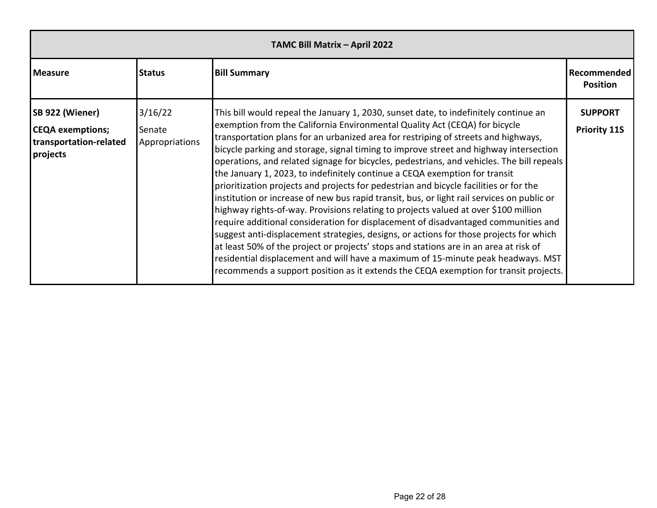| TAMC Bill Matrix - April 2022                                                    |                                     |                                                                                                                                                                                                                                                                                                                                                                                                                                                                                                                                                                                                                                                                                                                                                                                                                                                                                                                                                                                                                                                                                                                                                                                                                                                                 |                                       |
|----------------------------------------------------------------------------------|-------------------------------------|-----------------------------------------------------------------------------------------------------------------------------------------------------------------------------------------------------------------------------------------------------------------------------------------------------------------------------------------------------------------------------------------------------------------------------------------------------------------------------------------------------------------------------------------------------------------------------------------------------------------------------------------------------------------------------------------------------------------------------------------------------------------------------------------------------------------------------------------------------------------------------------------------------------------------------------------------------------------------------------------------------------------------------------------------------------------------------------------------------------------------------------------------------------------------------------------------------------------------------------------------------------------|---------------------------------------|
| <b>Measure</b>                                                                   | <b>Status</b>                       | <b>Bill Summary</b>                                                                                                                                                                                                                                                                                                                                                                                                                                                                                                                                                                                                                                                                                                                                                                                                                                                                                                                                                                                                                                                                                                                                                                                                                                             | Recommended<br><b>Position</b>        |
| SB 922 (Wiener)<br><b>CEQA</b> exemptions;<br>transportation-related<br>projects | 3/16/22<br>Senate<br>Appropriations | This bill would repeal the January 1, 2030, sunset date, to indefinitely continue an<br>exemption from the California Environmental Quality Act (CEQA) for bicycle<br>transportation plans for an urbanized area for restriping of streets and highways,<br>bicycle parking and storage, signal timing to improve street and highway intersection<br>operations, and related signage for bicycles, pedestrians, and vehicles. The bill repeals<br>the January 1, 2023, to indefinitely continue a CEQA exemption for transit<br>prioritization projects and projects for pedestrian and bicycle facilities or for the<br>institution or increase of new bus rapid transit, bus, or light rail services on public or<br>highway rights-of-way. Provisions relating to projects valued at over \$100 million<br>require additional consideration for displacement of disadvantaged communities and<br>suggest anti-displacement strategies, designs, or actions for those projects for which<br>at least 50% of the project or projects' stops and stations are in an area at risk of<br>residential displacement and will have a maximum of 15-minute peak headways. MST<br>recommends a support position as it extends the CEQA exemption for transit projects. | <b>SUPPORT</b><br><b>Priority 11S</b> |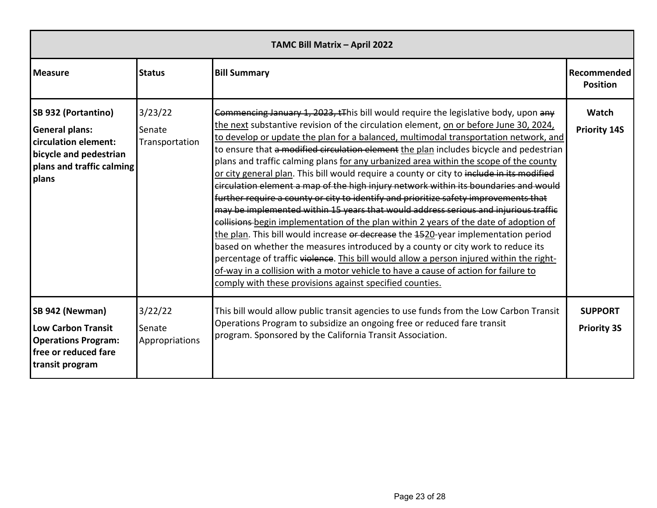| TAMC Bill Matrix - April 2022                                                                                                        |                                     |                                                                                                                                                                                                                                                                                                                                                                                                                                                                                                                                                                                                                                                                                                                                                                                                                                                                                                                                                                                                                                                                                                                                                                                                                                                                                                                                              |                                      |
|--------------------------------------------------------------------------------------------------------------------------------------|-------------------------------------|----------------------------------------------------------------------------------------------------------------------------------------------------------------------------------------------------------------------------------------------------------------------------------------------------------------------------------------------------------------------------------------------------------------------------------------------------------------------------------------------------------------------------------------------------------------------------------------------------------------------------------------------------------------------------------------------------------------------------------------------------------------------------------------------------------------------------------------------------------------------------------------------------------------------------------------------------------------------------------------------------------------------------------------------------------------------------------------------------------------------------------------------------------------------------------------------------------------------------------------------------------------------------------------------------------------------------------------------|--------------------------------------|
| <b>Measure</b>                                                                                                                       | <b>Status</b>                       | <b>Bill Summary</b>                                                                                                                                                                                                                                                                                                                                                                                                                                                                                                                                                                                                                                                                                                                                                                                                                                                                                                                                                                                                                                                                                                                                                                                                                                                                                                                          | Recommended<br><b>Position</b>       |
| SB 932 (Portantino)<br><b>General plans:</b><br>circulation element:<br>bicycle and pedestrian<br>plans and traffic calming<br>plans | 3/23/22<br>Senate<br>Transportation | Commencing January 1, 2023, tThis bill would require the legislative body, upon any<br>the next substantive revision of the circulation element, on or before June 30, 2024,<br>to develop or update the plan for a balanced, multimodal transportation network, and<br>to ensure that a modified circulation element the plan includes bicycle and pedestrian<br>plans and traffic calming plans for any urbanized area within the scope of the county<br>or city general plan. This bill would require a county or city to include in its modified<br>circulation element a map of the high injury network within its boundaries and would<br>further require a county or city to identify and prioritize safety improvements that<br>may be implemented within 15 years that would address serious and injurious traffic<br>collisions begin implementation of the plan within 2 years of the date of adoption of<br>the plan. This bill would increase or decrease the 4520-year implementation period<br>based on whether the measures introduced by a county or city work to reduce its<br>percentage of traffic violence. This bill would allow a person injured within the right-<br>of-way in a collision with a motor vehicle to have a cause of action for failure to<br>comply with these provisions against specified counties. | Watch<br><b>Priority 14S</b>         |
| SB 942 (Newman)<br><b>Low Carbon Transit</b><br><b>Operations Program:</b><br>free or reduced fare<br>transit program                | 3/22/22<br>Senate<br>Appropriations | This bill would allow public transit agencies to use funds from the Low Carbon Transit<br>Operations Program to subsidize an ongoing free or reduced fare transit<br>program. Sponsored by the California Transit Association.                                                                                                                                                                                                                                                                                                                                                                                                                                                                                                                                                                                                                                                                                                                                                                                                                                                                                                                                                                                                                                                                                                               | <b>SUPPORT</b><br><b>Priority 3S</b> |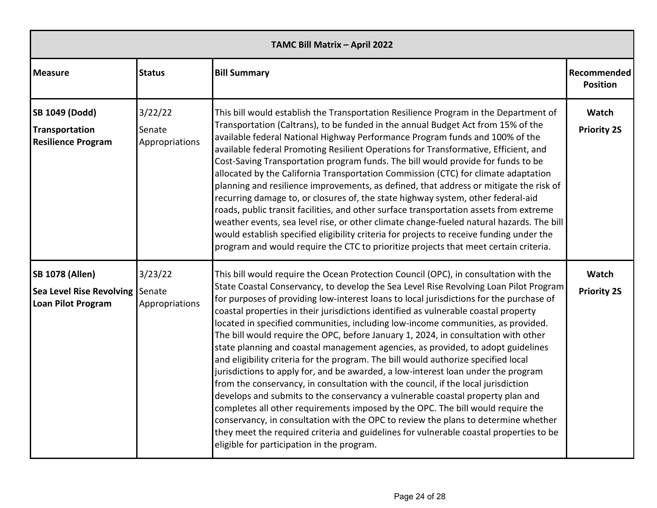| TAMC Bill Matrix - April 2022                                                          |                                     |                                                                                                                                                                                                                                                                                                                                                                                                                                                                                                                                                                                                                                                                                                                                                                                                                                                                                                                                                                                                                                                                                                                                                                                                                                                                                                  |                                |
|----------------------------------------------------------------------------------------|-------------------------------------|--------------------------------------------------------------------------------------------------------------------------------------------------------------------------------------------------------------------------------------------------------------------------------------------------------------------------------------------------------------------------------------------------------------------------------------------------------------------------------------------------------------------------------------------------------------------------------------------------------------------------------------------------------------------------------------------------------------------------------------------------------------------------------------------------------------------------------------------------------------------------------------------------------------------------------------------------------------------------------------------------------------------------------------------------------------------------------------------------------------------------------------------------------------------------------------------------------------------------------------------------------------------------------------------------|--------------------------------|
| <b>Measure</b>                                                                         | <b>Status</b>                       | <b>Bill Summary</b>                                                                                                                                                                                                                                                                                                                                                                                                                                                                                                                                                                                                                                                                                                                                                                                                                                                                                                                                                                                                                                                                                                                                                                                                                                                                              | Recommended<br><b>Position</b> |
| <b>SB 1049 (Dodd)</b><br>Transportation<br><b>Resilience Program</b>                   | 3/22/22<br>Senate<br>Appropriations | This bill would establish the Transportation Resilience Program in the Department of<br>Transportation (Caltrans), to be funded in the annual Budget Act from 15% of the<br>available federal National Highway Performance Program funds and 100% of the<br>available federal Promoting Resilient Operations for Transformative, Efficient, and<br>Cost-Saving Transportation program funds. The bill would provide for funds to be<br>allocated by the California Transportation Commission (CTC) for climate adaptation<br>planning and resilience improvements, as defined, that address or mitigate the risk of<br>recurring damage to, or closures of, the state highway system, other federal-aid<br>roads, public transit facilities, and other surface transportation assets from extreme<br>weather events, sea level rise, or other climate change-fueled natural hazards. The bill<br>would establish specified eligibility criteria for projects to receive funding under the<br>program and would require the CTC to prioritize projects that meet certain criteria.                                                                                                                                                                                                                | Watch<br><b>Priority 2S</b>    |
| <b>SB 1078 (Allen)</b><br>Sea Level Rise Revolving Senate<br><b>Loan Pilot Program</b> | 3/23/22<br>Appropriations           | This bill would require the Ocean Protection Council (OPC), in consultation with the<br>State Coastal Conservancy, to develop the Sea Level Rise Revolving Loan Pilot Program<br>for purposes of providing low-interest loans to local jurisdictions for the purchase of<br>coastal properties in their jurisdictions identified as vulnerable coastal property<br>located in specified communities, including low-income communities, as provided.<br>The bill would require the OPC, before January 1, 2024, in consultation with other<br>state planning and coastal management agencies, as provided, to adopt guidelines<br>and eligibility criteria for the program. The bill would authorize specified local<br>jurisdictions to apply for, and be awarded, a low-interest loan under the program<br>from the conservancy, in consultation with the council, if the local jurisdiction<br>develops and submits to the conservancy a vulnerable coastal property plan and<br>completes all other requirements imposed by the OPC. The bill would require the<br>conservancy, in consultation with the OPC to review the plans to determine whether<br>they meet the required criteria and guidelines for vulnerable coastal properties to be<br>eligible for participation in the program. | Watch<br><b>Priority 2S</b>    |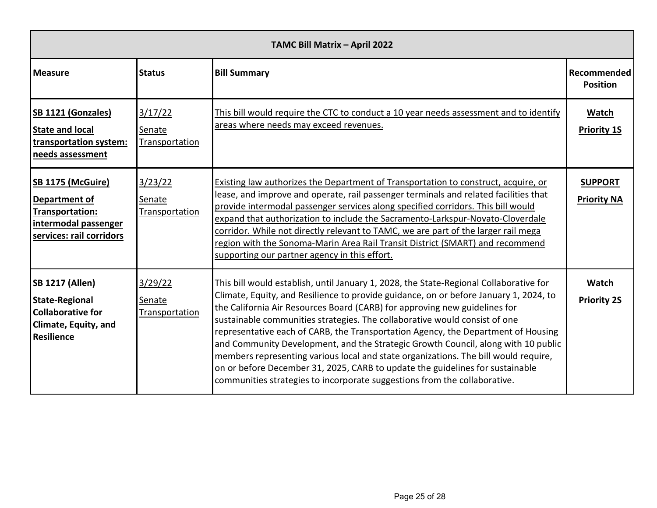| TAMC Bill Matrix - April 2022                                                                                            |                                                                                                                                                                                                                                                                                                                                                                                                                                                                                                                                                                                                                                                                                                                                                                                                                   |                                                                                                                                                                                                                                                                                                                                                                                                                                                                                                                                                                          |                                       |
|--------------------------------------------------------------------------------------------------------------------------|-------------------------------------------------------------------------------------------------------------------------------------------------------------------------------------------------------------------------------------------------------------------------------------------------------------------------------------------------------------------------------------------------------------------------------------------------------------------------------------------------------------------------------------------------------------------------------------------------------------------------------------------------------------------------------------------------------------------------------------------------------------------------------------------------------------------|--------------------------------------------------------------------------------------------------------------------------------------------------------------------------------------------------------------------------------------------------------------------------------------------------------------------------------------------------------------------------------------------------------------------------------------------------------------------------------------------------------------------------------------------------------------------------|---------------------------------------|
| <b>Measure</b>                                                                                                           | <b>Status</b>                                                                                                                                                                                                                                                                                                                                                                                                                                                                                                                                                                                                                                                                                                                                                                                                     | <b>Bill Summary</b>                                                                                                                                                                                                                                                                                                                                                                                                                                                                                                                                                      | <b>Recommended</b><br><b>Position</b> |
| <b>SB 1121 (Gonzales)</b><br><b>State and local</b><br>transportation system:<br>needs assessment                        | 3/17/22<br>Senate<br><b>Transportation</b>                                                                                                                                                                                                                                                                                                                                                                                                                                                                                                                                                                                                                                                                                                                                                                        | This bill would require the CTC to conduct a 10 year needs assessment and to identify<br>areas where needs may exceed revenues.                                                                                                                                                                                                                                                                                                                                                                                                                                          | Watch<br><b>Priority 1S</b>           |
| <b>SB 1175 (McGuire)</b><br>Department of<br>Transportation:<br>intermodal passenger<br>services: rail corridors         | 3/23/22<br><b>Senate</b><br>Transportation                                                                                                                                                                                                                                                                                                                                                                                                                                                                                                                                                                                                                                                                                                                                                                        | Existing law authorizes the Department of Transportation to construct, acquire, or<br>lease, and improve and operate, rail passenger terminals and related facilities that<br>provide intermodal passenger services along specified corridors. This bill would<br>expand that authorization to include the Sacramento-Larkspur-Novato-Cloverdale<br>corridor. While not directly relevant to TAMC, we are part of the larger rail mega<br>region with the Sonoma-Marin Area Rail Transit District (SMART) and recommend<br>supporting our partner agency in this effort. | <b>SUPPORT</b><br><b>Priority NA</b>  |
| <b>SB 1217 (Allen)</b><br><b>State-Regional</b><br><b>Collaborative for</b><br><b>Climate, Equity, and</b><br>Resilience | 3/29/22<br>This bill would establish, until January 1, 2028, the State-Regional Collaborative for<br>Climate, Equity, and Resilience to provide guidance, on or before January 1, 2024, to<br>Senate<br>the California Air Resources Board (CARB) for approving new guidelines for<br>Transportation<br>sustainable communities strategies. The collaborative would consist of one<br>representative each of CARB, the Transportation Agency, the Department of Housing<br>and Community Development, and the Strategic Growth Council, along with 10 public<br>members representing various local and state organizations. The bill would require,<br>on or before December 31, 2025, CARB to update the guidelines for sustainable<br>communities strategies to incorporate suggestions from the collaborative. |                                                                                                                                                                                                                                                                                                                                                                                                                                                                                                                                                                          | Watch<br><b>Priority 2S</b>           |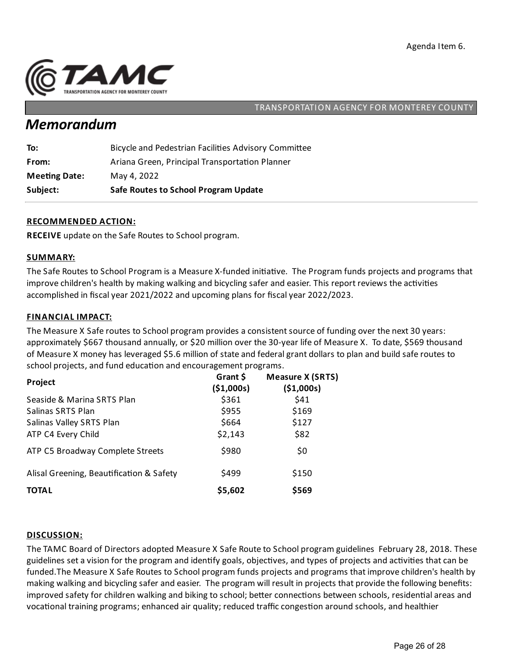

## *Memorandum*

| Subject:             | <b>Safe Routes to School Program Update</b>          |
|----------------------|------------------------------------------------------|
| <b>Meeting Date:</b> | May 4, 2022                                          |
| From:                | Ariana Green, Principal Transportation Planner       |
| To:                  | Bicycle and Pedestrian Facilities Advisory Committee |

### **RECOMMENDED ACTION:**

**RECEIVE** update on the Safe Routes to School program.

#### **SUMMARY:**

The Safe Routes to School Program is a Measure X-funded initiative. The Program funds projects and programs that improve children's health by making walking and bicycling safer and easier. This report reviews the activities accomplished in fiscal year 2021/2022 and upcoming plans for fiscal year 2022/2023.

#### **FINANCIAL IMPACT:**

The Measure X Safe routes to School program provides a consistent source of funding over the next 30 years: approximately \$667 thousand annually, or \$20 million over the 30-year life of Measure X. To date, \$569 thousand of Measure X money has leveraged \$5.6 million of state and federalgrant dollars to plan and build safe routes to school projects, and fund education and encouragement programs.

| Project                                  | Grant \$<br>(\$1,000s) | <b>Measure X (SRTS)</b><br>(\$1,000s) |
|------------------------------------------|------------------------|---------------------------------------|
| Seaside & Marina SRTS Plan               | \$361                  | \$41                                  |
| Salinas SRTS Plan                        | \$955                  | \$169                                 |
| Salinas Valley SRTS Plan                 | \$664                  | \$127                                 |
| ATP C4 Every Child                       | \$2,143                | \$82                                  |
| ATP C5 Broadway Complete Streets         | \$980                  | \$0                                   |
| Alisal Greening, Beautification & Safety | \$499                  | \$150                                 |
| <b>TOTAL</b>                             | \$5,602                | \$569                                 |

#### **DISCUSSION:**

The TAMC Board of Directors adopted Measure X Safe Route to School program guidelines February 28, 2018. These guidelines set a vision for the program and identify goals, objectives, and types of projects and activities that can be funded.The Measure X Safe Routes to School program funds projects and programs that improve children's health by making walking and bicycling safer and easier. The program will result in projects that provide the following benefits: improved safety for children walking and biking to school; better connections between schools, residential areas and vocational training programs; enhanced air quality; reduced traffic congestion around schools, and healthier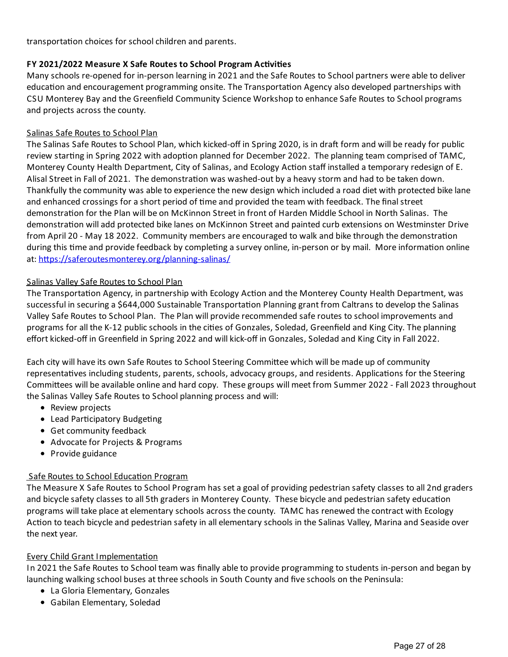transportation choices for school children and parents.

## **FY 2021/2022 Measure X Safe Routes to School Program Ac vi es**

Many schools re-opened for in-person learning in 2021 and the Safe Routes to School partners were able to deliver education and encouragement programming onsite. The Transportation Agency also developed partnerships with CSU Monterey Bay and the Greenfield Community Science Workshop to enhance Safe Routes to School programs and projects across the county.

#### Salinas Safe Routes to School Plan

The Salinas Safe Routes to School Plan, which kicked-off in Spring 2020, is in draft form and will be ready for public review starting in Spring 2022 with adoption planned for December 2022. The planning team comprised of TAMC, Monterey County Health Department, City of Salinas, and Ecology Action staff installed a temporary redesign of E. Alisal Street in Fall of 2021. The demonstration was washed-out by a heavy storm and had to be taken down. Thankfully the community was able to experience the new design which included aroad diet with protected bike lane and enhanced crossings for a short period of time and provided the team with feedback. The final street demonstration for the Plan will be on McKinnon Street in front of Harden Middle School in North Salinas. The demonstration will add protected bike lanes on McKinnon Street and painted curb extensions on Westminster Drive from April 20 - May 18 2022. Community members are encouraged to walk and bike through the demonstration during this time and provide feedback by completing a survey online, in-person or by mail. More information online at: https://saferoutesmonterey.org/planning-salinas/

#### Salinas Valley Safe Routes to School Plan

The Transportation Agency, in partnership with Ecology Action and the Monterey County Health Department, was successful in securing a \$644,000 Sustainable Transportation Planning grant from Caltrans to develop the Salinas Valley Safe Routes to School Plan. The Plan will provide recommended safe routes to school improvements and programs for all the K-12 public schools in the cities of Gonzales, Soledad, Greenfield and King City. The planning effort kicked-off in Greenfield in Spring 2022 and will kick-off in Gonzales, Soledad and King City in Fall 2022.

Each city will have its own Safe Routes to School Steering Committee which will be made up of community representatives including students, parents, schools, advocacy groups, and residents. Applications for the Steering Committees will be available online and hard copy. These groups will meet from Summer 2022 - Fall 2023 throughout the Salinas Valley Safe Routes to School planning process and will:

- Review projects
- Lead Participatory Budgeting
- Get community feedback
- Advocate for Projects & Programs
- Provide guidance

#### Safe Routes to School Education Program

The Measure X Safe Routes to School Program has set a goal of providing pedestrian safety classes to all 2nd graders and bicycle safety classes to all 5th graders in Monterey County. These bicycle and pedestrian safety education programs will take place at elementary schools across the county. TAMC has renewed the contract with Ecology Action to teach bicycle and pedestrian safety in all elementary schools in the Salinas Valley, Marina and Seaside over the next year.

#### **Every Child Grant Implementation**

In 2021 the Safe Routes to School team was finally able to provide programmingto students in-person and began by launching walking school buses at three schools in South County and five schools on the Peninsula:

- La Gloria Elementary, Gonzales
- Gabilan Elementary, Soledad